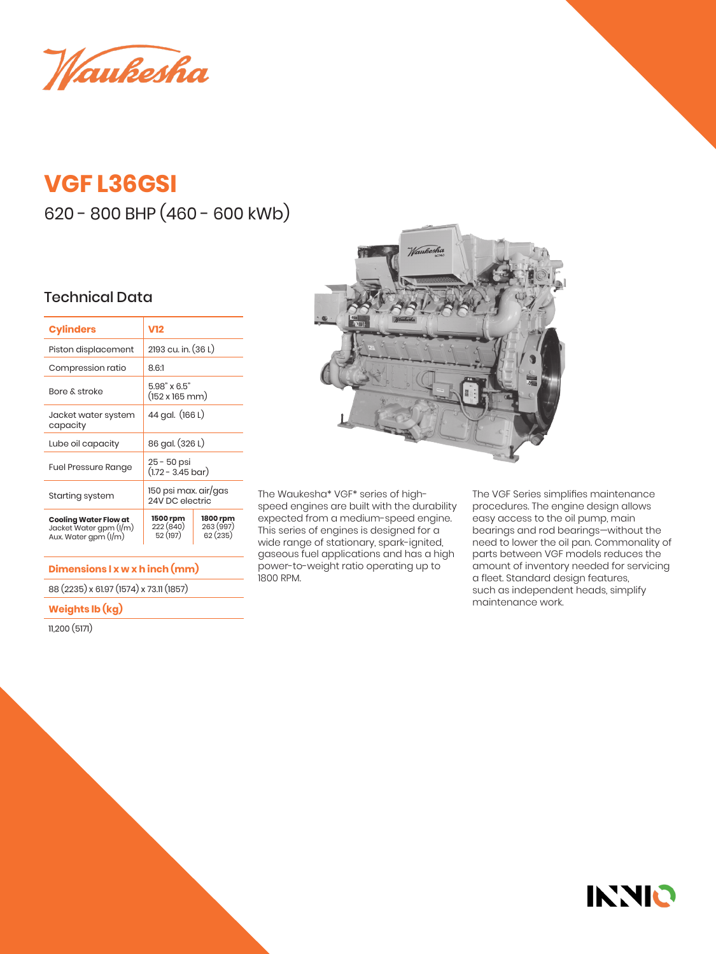Waukesha

# **VGF L36GSI**

620 - 800 BHP (460 - 600 kWb)

### Technical Data

| <b>Cylinders</b>                                                               | V12                                             |                                  |  |
|--------------------------------------------------------------------------------|-------------------------------------------------|----------------------------------|--|
| Piston displacement                                                            | 2193 cu. in. (36 L)                             |                                  |  |
| Compression ratio                                                              | 8.6:1                                           |                                  |  |
| Bore & stroke                                                                  | 5.98" x 6.5"<br>$(152 \times 165 \, \text{mm})$ |                                  |  |
| Jacket water system<br>capacity                                                | 44 gal. (166 L)                                 |                                  |  |
| Lube oil capacity                                                              | 86 gal. (326 L)                                 |                                  |  |
| <b>Fuel Pressure Range</b>                                                     | 25 - 50 psi<br>$(1.72 - 3.45 \text{ bar})$      |                                  |  |
| Starting system                                                                | 150 psi max. air/gas<br>24V DC electric         |                                  |  |
| <b>Cooling Water Flow at</b><br>Jacket Water gpm (I/m)<br>Aux. Water gpm (I/m) | 1500 rpm<br>222(840)<br>52 (197)                | 1800 rpm<br>263 (997)<br>62(235) |  |

#### **Dimensions l x w x h inch (mm)**

88 (2235) x 61.97 (1574) x 73.11 (1857)

#### **Weights lb (kg)**

11,200 (5171)



The Waukesha\* VGF\* series of highspeed engines are built with the durability expected from a medium-speed engine. This series of engines is designed for a wide range of stationary, spark-ignited, gaseous fuel applications and has a high power-to-weight ratio operating up to 1800 RPM.

The VGF Series simplifies maintenance procedures. The engine design allows easy access to the oil pump, main bearings and rod bearings—without the need to lower the oil pan. Commonality of parts between VGF models reduces the amount of inventory needed for servicing a fleet. Standard design features, such as independent heads, simplify maintenance work.